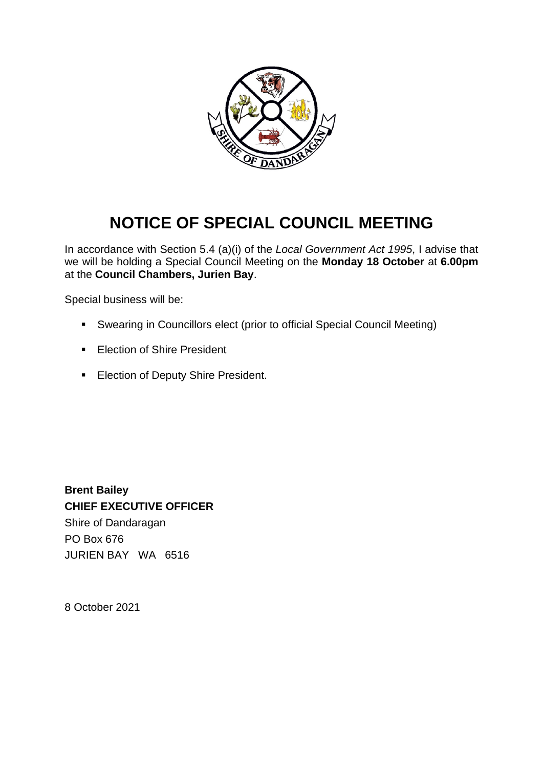

## **NOTICE OF SPECIAL COUNCIL MEETING**

In accordance with Section 5.4 (a)(i) of the *Local Government Act 1995*, I advise that we will be holding a Special Council Meeting on the **Monday 18 October** at **6.00pm** at the **Council Chambers, Jurien Bay**.

Special business will be:

- Swearing in Councillors elect (prior to official Special Council Meeting)
- **Election of Shire President**
- **Election of Deputy Shire President.**

**Brent Bailey CHIEF EXECUTIVE OFFICER** Shire of Dandaragan PO Box 676 JURIEN BAY WA 6516

8 October 2021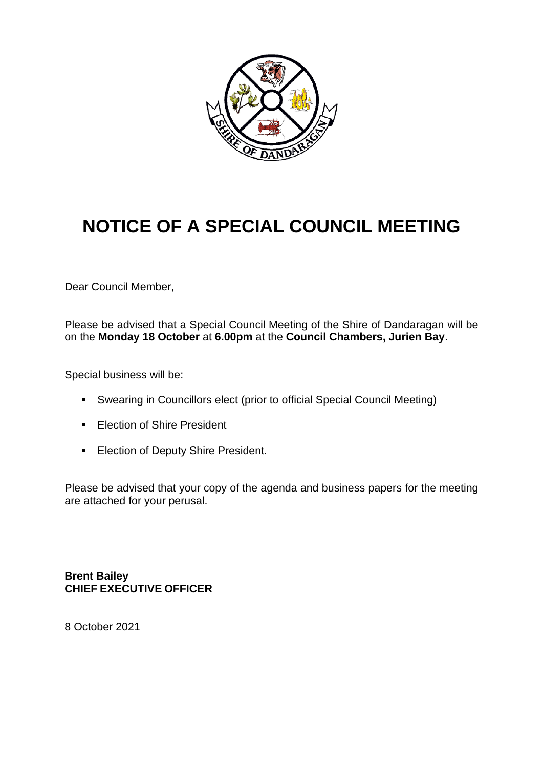

## **NOTICE OF A SPECIAL COUNCIL MEETING**

Dear Council Member,

Please be advised that a Special Council Meeting of the Shire of Dandaragan will be on the **Monday 18 October** at **6.00pm** at the **Council Chambers, Jurien Bay**.

Special business will be:

- Swearing in Councillors elect (prior to official Special Council Meeting)
- **Election of Shire President**
- **Election of Deputy Shire President.**

Please be advised that your copy of the agenda and business papers for the meeting are attached for your perusal.

**Brent Bailey CHIEF EXECUTIVE OFFICER**

8 October 2021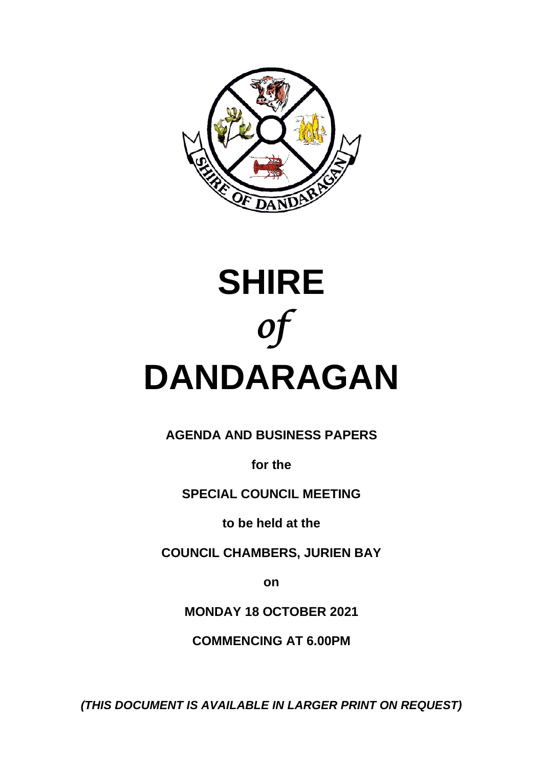

# **SHIRE** *of*  **DANDARAGAN**

**AGENDA AND BUSINESS PAPERS**

**for the**

**SPECIAL COUNCIL MEETING**

**to be held at the**

**COUNCIL CHAMBERS, JURIEN BAY**

**on**

**MONDAY 18 OCTOBER 2021**

**COMMENCING AT 6.00PM**

*(THIS DOCUMENT IS AVAILABLE IN LARGER PRINT ON REQUEST)*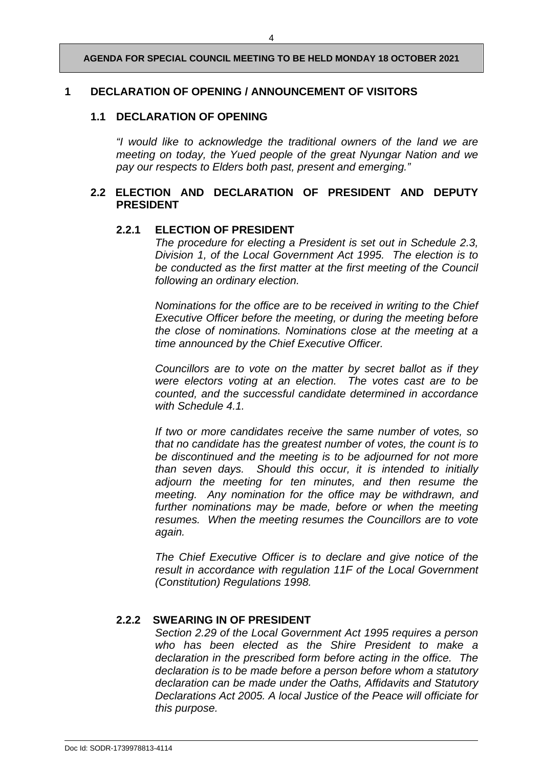**AGENDA FOR SPECIAL COUNCIL MEETING TO BE HELD MONDAY 18 OCTOBER 2021**

#### **1 DECLARATION OF OPENING / ANNOUNCEMENT OF VISITORS**

#### **1.1 DECLARATION OF OPENING**

*"I would like to acknowledge the traditional owners of the land we are meeting on today, the Yued people of the great Nyungar Nation and we pay our respects to Elders both past, present and emerging."*

#### **2.2 ELECTION AND DECLARATION OF PRESIDENT AND DEPUTY PRESIDENT**

#### **2.2.1 ELECTION OF PRESIDENT**

*The procedure for electing a President is set out in Schedule 2.3, Division 1, of the Local Government Act 1995. The election is to be conducted as the first matter at the first meeting of the Council following an ordinary election.* 

*Nominations for the office are to be received in writing to the Chief Executive Officer before the meeting, or during the meeting before the close of nominations. Nominations close at the meeting at a time announced by the Chief Executive Officer.* 

*Councillors are to vote on the matter by secret ballot as if they were electors voting at an election. The votes cast are to be counted, and the successful candidate determined in accordance with Schedule 4.1.* 

*If two or more candidates receive the same number of votes, so that no candidate has the greatest number of votes, the count is to be discontinued and the meeting is to be adjourned for not more than seven days. Should this occur, it is intended to initially adjourn the meeting for ten minutes, and then resume the meeting. Any nomination for the office may be withdrawn, and*  further nominations may be made, before or when the meeting *resumes. When the meeting resumes the Councillors are to vote again.* 

*The Chief Executive Officer is to declare and give notice of the result in accordance with regulation 11F of the Local Government (Constitution) Regulations 1998.* 

#### **2.2.2 SWEARING IN OF PRESIDENT**

*Section 2.29 of the Local Government Act 1995 requires a person who has been elected as the Shire President to make a declaration in the prescribed form before acting in the office. The declaration is to be made before a person before whom a statutory declaration can be made under the Oaths, Affidavits and Statutory Declarations Act 2005. A local Justice of the Peace will officiate for this purpose.*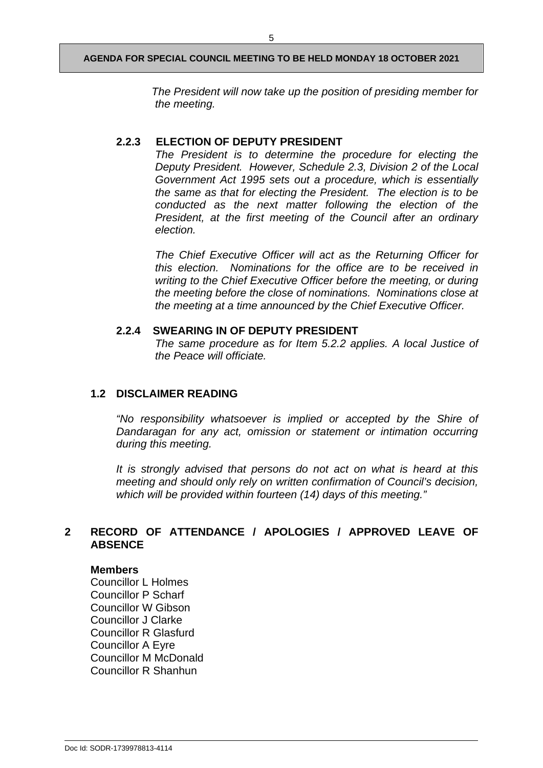#### **AGENDA FOR SPECIAL COUNCIL MEETING TO BE HELD MONDAY 18 OCTOBER 2021**

*The President will now take up the position of presiding member for the meeting.* 

#### **2.2.3 ELECTION OF DEPUTY PRESIDENT**

*The President is to determine the procedure for electing the Deputy President. However, Schedule 2.3, Division 2 of the Local Government Act 1995 sets out a procedure, which is essentially the same as that for electing the President. The election is to be conducted as the next matter following the election of the President, at the first meeting of the Council after an ordinary election.* 

*The Chief Executive Officer will act as the Returning Officer for this election. Nominations for the office are to be received in writing to the Chief Executive Officer before the meeting, or during the meeting before the close of nominations. Nominations close at the meeting at a time announced by the Chief Executive Officer.* 

#### **2.2.4 SWEARING IN OF DEPUTY PRESIDENT**

*The same procedure as for Item 5.2.2 applies. A local Justice of the Peace will officiate.*

#### **1.2 DISCLAIMER READING**

*"No responsibility whatsoever is implied or accepted by the Shire of Dandaragan for any act, omission or statement or intimation occurring during this meeting.*

*It is strongly advised that persons do not act on what is heard at this meeting and should only rely on written confirmation of Council's decision, which will be provided within fourteen (14) days of this meeting."*

#### **2 RECORD OF ATTENDANCE / APOLOGIES / APPROVED LEAVE OF ABSENCE**

#### **Members**

Councillor L Holmes Councillor P Scharf Councillor W Gibson Councillor J Clarke Councillor R Glasfurd Councillor A Eyre Councillor M McDonald Councillor R Shanhun